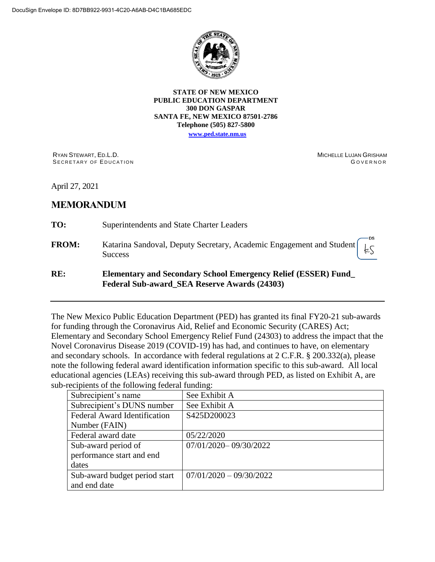

**STATE OF NEW MEXICO PUBLIC EDUCATION DEPARTMENT 300 DON GASPAR SANTA FE, NEW MEXICO 87501-2786 Telephone (505) 827-5800**

**[www.ped.state.nm.us](http://webnew.ped.state.nm.us/)**

RYAN STEWART, ED.L.D. SECRETARY OF EDUCATION MICHELLE LUJAN GRISHAM **GOVERNOR** 

April 27, 2021

# **MEMORANDUM**

- **TO:** Superintendents and State Charter Leaders
- **FROM:** Katarina Sandoval, Deputy Secretary, Academic Engagement and Student fζ **Success**

## **RE: Elementary and Secondary School Emergency Relief (ESSER) Fund\_ Federal Sub-award\_SEA Reserve Awards (24303)**

The New Mexico Public Education Department (PED) has granted its final FY20-21 sub-awards for funding through the Coronavirus Aid, Relief and Economic Security (CARES) Act; Elementary and Secondary School Emergency Relief Fund (24303) to address the impact that the Novel Coronavirus Disease 2019 (COVID-19) has had, and continues to have, on elementary and secondary schools. In accordance with federal regulations at 2 C.F.R. § 200.332(a), please note the following federal award identification information specific to this sub-award. All local educational agencies (LEAs) receiving this sub-award through PED, as listed on Exhibit A, are sub-recipients of the following federal funding:

| Subrecipient's name                 | See Exhibit A             |
|-------------------------------------|---------------------------|
| Subrecipient's DUNS number          | See Exhibit A             |
| <b>Federal Award Identification</b> | S425D200023               |
| Number (FAIN)                       |                           |
| Federal award date                  | 05/22/2020                |
| Sub-award period of                 | 07/01/2020-09/30/2022     |
| performance start and end           |                           |
| dates                               |                           |
| Sub-award budget period start       | $07/01/2020 - 09/30/2022$ |
| and end date                        |                           |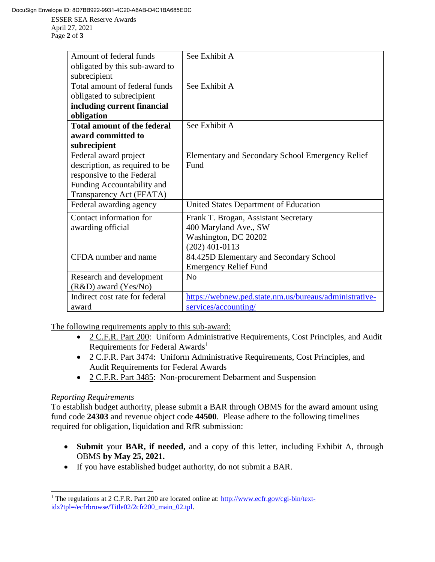Page **2** of **3**

| Amount of federal funds            | See Exhibit A                                          |
|------------------------------------|--------------------------------------------------------|
| obligated by this sub-award to     |                                                        |
| subrecipient                       |                                                        |
| Total amount of federal funds      | See Exhibit A                                          |
| obligated to subrecipient          |                                                        |
| including current financial        |                                                        |
| obligation                         |                                                        |
| <b>Total amount of the federal</b> | See Exhibit A                                          |
| award committed to                 |                                                        |
| subrecipient                       |                                                        |
| Federal award project              | Elementary and Secondary School Emergency Relief       |
| description, as required to be     | Fund                                                   |
| responsive to the Federal          |                                                        |
| Funding Accountability and         |                                                        |
| Transparency Act (FFATA)           |                                                        |
| Federal awarding agency            | United States Department of Education                  |
| Contact information for            | Frank T. Brogan, Assistant Secretary                   |
| awarding official                  | 400 Maryland Ave., SW                                  |
|                                    | Washington, DC 20202                                   |
|                                    | $(202)$ 401-0113                                       |
| CFDA number and name               | 84.425D Elementary and Secondary School                |
|                                    | <b>Emergency Relief Fund</b>                           |
| Research and development           | No                                                     |
| $(R&D)$ award $(Yes/No)$           |                                                        |
| Indirect cost rate for federal     | https://webnew.ped.state.nm.us/bureaus/administrative- |
| award                              | services/accounting/                                   |

The following requirements apply to this sub-award:

- 2 C.F.R. Part 200: Uniform Administrative Requirements, Cost Principles, and Audit Requirements for Federal Awards<sup>1</sup>
- 2 C.F.R. Part 3474: Uniform Administrative Requirements, Cost Principles, and Audit Requirements for Federal Awards
- 2 C.F.R. Part 3485: Non-procurement Debarment and Suspension

### *Reporting Requirements*

 $\overline{a}$ 

To establish budget authority, please submit a BAR through OBMS for the award amount using fund code **24303** and revenue object code **44500**. Please adhere to the following timelines required for obligation, liquidation and RfR submission:

- **Submit** your **BAR, if needed,** and a copy of this letter, including Exhibit A, through OBMS **by May 25, 2021.**
- If you have established budget authority, do not submit a BAR.

<sup>&</sup>lt;sup>1</sup> The regulations at 2 C.F.R. Part 200 are located online at: [http://www.ecfr.gov/cgi-bin/text](http://www.ecfr.gov/cgi-bin/text-idx?tpl=/ecfrbrowse/Title02/2cfr200_main_02.tpl)[idx?tpl=/ecfrbrowse/Title02/2cfr200\\_main\\_02.tpl.](http://www.ecfr.gov/cgi-bin/text-idx?tpl=/ecfrbrowse/Title02/2cfr200_main_02.tpl)